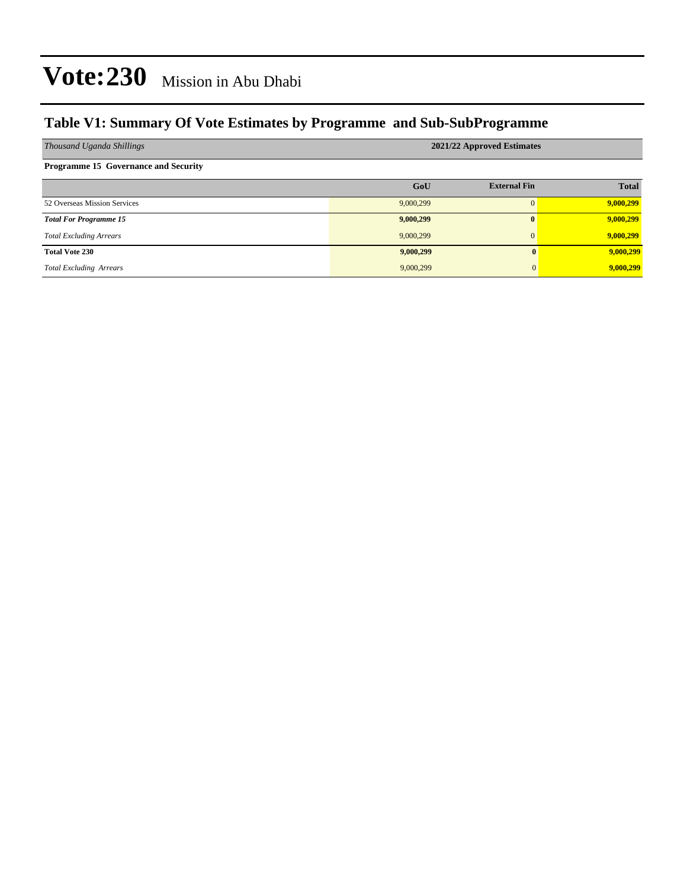### **Table V1: Summary Of Vote Estimates by Programme and Sub-SubProgramme**

| Thousand Uganda Shillings                   | 2021/22 Approved Estimates |                     |              |  |  |  |  |
|---------------------------------------------|----------------------------|---------------------|--------------|--|--|--|--|
| <b>Programme 15 Governance and Security</b> |                            |                     |              |  |  |  |  |
|                                             | GoU                        | <b>External Fin</b> | <b>Total</b> |  |  |  |  |
| 52 Overseas Mission Services                | 9,000,299                  |                     | 9,000,299    |  |  |  |  |
| <b>Total For Programme 15</b>               | 9,000,299                  | $\mathbf{0}$        | 9,000,299    |  |  |  |  |
| <b>Total Excluding Arrears</b>              | 9,000,299                  | $\mathbf{0}$        | 9,000,299    |  |  |  |  |
| <b>Total Vote 230</b>                       | 9,000,299                  | $\mathbf{0}$        | 9,000,299    |  |  |  |  |
| <b>Total Excluding Arrears</b>              | 9,000,299                  | 0                   | 9,000,299    |  |  |  |  |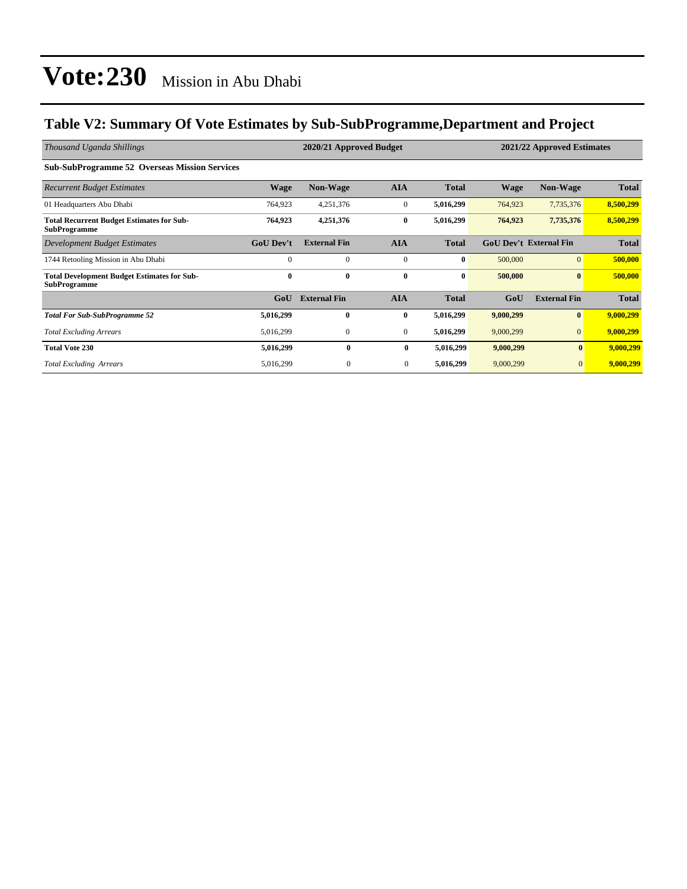### **Table V2: Summary Of Vote Estimates by Sub-SubProgramme,Department and Project**

| Thousand Uganda Shillings                                                 |                  | 2020/21 Approved Budget |              |              | 2021/22 Approved Estimates |                               |              |
|---------------------------------------------------------------------------|------------------|-------------------------|--------------|--------------|----------------------------|-------------------------------|--------------|
| <b>Sub-SubProgramme 52 Overseas Mission Services</b>                      |                  |                         |              |              |                            |                               |              |
| <b>Recurrent Budget Estimates</b>                                         | Wage             | <b>Non-Wage</b>         | <b>AIA</b>   | <b>Total</b> | <b>Wage</b>                | <b>Non-Wage</b>               | <b>Total</b> |
| 01 Headquarters Abu Dhabi                                                 | 764,923          | 4,251,376               | $\mathbf{0}$ | 5,016,299    | 764,923                    | 7,735,376                     | 8,500,299    |
| <b>Total Recurrent Budget Estimates for Sub-</b><br><b>SubProgramme</b>   | 764,923          | 4,251,376               | $\bf{0}$     | 5,016,299    | 764,923                    | 7,735,376                     | 8,500,299    |
| Development Budget Estimates                                              | <b>GoU</b> Dev't | <b>External Fin</b>     | <b>AIA</b>   | <b>Total</b> |                            | <b>GoU Dev't External Fin</b> | <b>Total</b> |
| 1744 Retooling Mission in Abu Dhabi                                       | $\Omega$         | $\mathbf{0}$            | $\mathbf{0}$ | $\bf{0}$     | 500,000                    | $\overline{0}$                | 500,000      |
| <b>Total Development Budget Estimates for Sub-</b><br><b>SubProgramme</b> | $\bf{0}$         | $\bf{0}$                | $\bf{0}$     | $\bf{0}$     | 500,000                    | $\bf{0}$                      | 500,000      |
|                                                                           | GoU              | <b>External Fin</b>     | <b>AIA</b>   | <b>Total</b> | GoU                        | <b>External Fin</b>           | <b>Total</b> |
| <b>Total For Sub-SubProgramme 52</b>                                      | 5,016,299        | $\mathbf{0}$            | $\bf{0}$     | 5,016,299    | 9,000,299                  | $\bf{0}$                      | 9,000,299    |
| <b>Total Excluding Arrears</b>                                            | 5,016,299        | $\mathbf{0}$            | $\mathbf{0}$ | 5,016,299    | 9,000,299                  | $\overline{0}$                | 9,000,299    |
| <b>Total Vote 230</b>                                                     | 5,016,299        | $\bf{0}$                | $\bf{0}$     | 5,016,299    | 9,000,299                  | $\bf{0}$                      | 9,000,299    |
| <b>Total Excluding Arrears</b>                                            | 5,016,299        | $\mathbf{0}$            | $\mathbf{0}$ | 5,016,299    | 9,000,299                  | $\mathbf{0}$                  | 9,000,299    |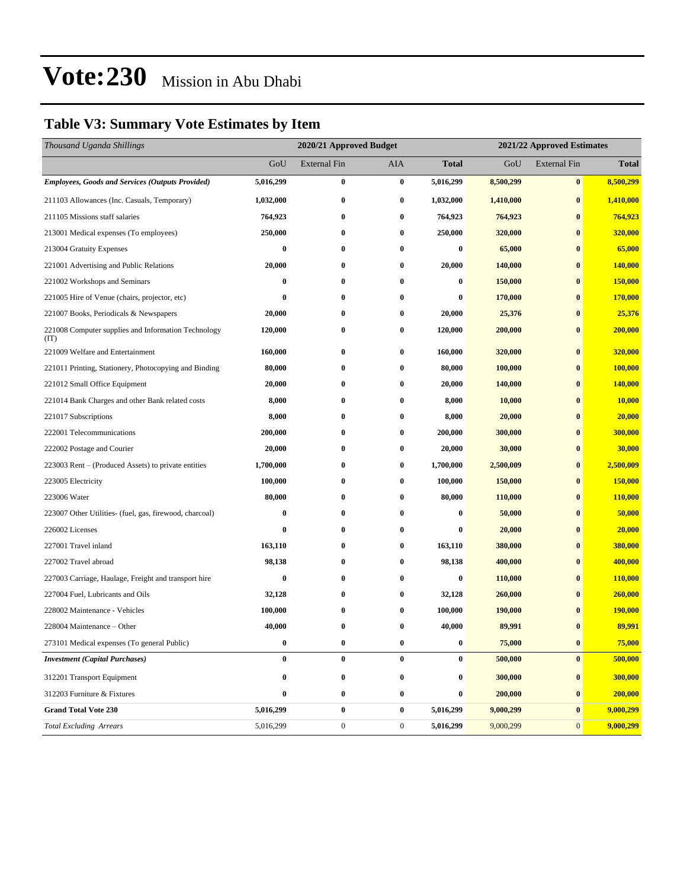### **Table V3: Summary Vote Estimates by Item**

| Thousand Uganda Shillings                                   |                  | 2020/21 Approved Budget |                  |                  |           | 2021/22 Approved Estimates |                |  |  |
|-------------------------------------------------------------|------------------|-------------------------|------------------|------------------|-----------|----------------------------|----------------|--|--|
|                                                             | GoU              | <b>External Fin</b>     | AIA              | <b>Total</b>     | GoU       | <b>External Fin</b>        | <b>Total</b>   |  |  |
| <b>Employees, Goods and Services (Outputs Provided)</b>     | 5,016,299        | $\bf{0}$                | $\bf{0}$         | 5,016,299        | 8,500,299 | $\bf{0}$                   | 8,500,299      |  |  |
| 211103 Allowances (Inc. Casuals, Temporary)                 | 1,032,000        | $\bf{0}$                | $\bf{0}$         | 1,032,000        | 1,410,000 | $\bf{0}$                   | 1,410,000      |  |  |
| 211105 Missions staff salaries                              | 764,923          | $\bf{0}$                | $\bf{0}$         | 764,923          | 764,923   | $\bf{0}$                   | 764,923        |  |  |
| 213001 Medical expenses (To employees)                      | 250,000          | $\bf{0}$                | $\bf{0}$         | 250,000          | 320,000   | $\bf{0}$                   | 320,000        |  |  |
| 213004 Gratuity Expenses                                    | $\bf{0}$         | 0                       | $\bf{0}$         | $\bf{0}$         | 65,000    | $\bf{0}$                   | 65,000         |  |  |
| 221001 Advertising and Public Relations                     | 20,000           | $\bf{0}$                | $\bf{0}$         | 20,000           | 140,000   | $\bf{0}$                   | 140,000        |  |  |
| 221002 Workshops and Seminars                               | $\bf{0}$         | 0                       | $\bf{0}$         | $\bf{0}$         | 150,000   | $\bf{0}$                   | 150,000        |  |  |
| 221005 Hire of Venue (chairs, projector, etc)               | $\boldsymbol{0}$ | $\bf{0}$                | $\bf{0}$         | $\bf{0}$         | 170,000   | $\bf{0}$                   | <b>170,000</b> |  |  |
| 221007 Books, Periodicals & Newspapers                      | 20,000           | $\bf{0}$                | $\bf{0}$         | 20,000           | 25,376    | $\bf{0}$                   | 25,376         |  |  |
| 221008 Computer supplies and Information Technology<br>(TT) | 120,000          | 0                       | $\bf{0}$         | 120,000          | 200,000   | $\bf{0}$                   | 200,000        |  |  |
| 221009 Welfare and Entertainment                            | 160,000          | 0                       | $\bf{0}$         | 160,000          | 320,000   | $\bf{0}$                   | 320,000        |  |  |
| 221011 Printing, Stationery, Photocopying and Binding       | 80,000           | $\bf{0}$                | $\bf{0}$         | 80,000           | 100,000   | $\bf{0}$                   | 100,000        |  |  |
| 221012 Small Office Equipment                               | 20,000           | $\bf{0}$                | $\bf{0}$         | 20,000           | 140,000   | $\bf{0}$                   | 140,000        |  |  |
| 221014 Bank Charges and other Bank related costs            | 8,000            | 0                       | $\bf{0}$         | 8,000            | 10,000    | $\bf{0}$                   | 10,000         |  |  |
| 221017 Subscriptions                                        | 8,000            | $\bf{0}$                | $\bf{0}$         | 8,000            | 20,000    | $\bf{0}$                   | 20,000         |  |  |
| 222001 Telecommunications                                   | 200,000          | 0                       | $\bf{0}$         | 200,000          | 300,000   | $\bf{0}$                   | 300,000        |  |  |
| 222002 Postage and Courier                                  | 20,000           | $\bf{0}$                | $\bf{0}$         | 20,000           | 30,000    | $\bf{0}$                   | 30,000         |  |  |
| 223003 Rent – (Produced Assets) to private entities         | 1,700,000        | $\bf{0}$                | $\bf{0}$         | 1,700,000        | 2,500,009 | $\bf{0}$                   | 2,500,009      |  |  |
| 223005 Electricity                                          | 100,000          | 0                       | $\bf{0}$         | 100,000          | 150,000   | $\bf{0}$                   | 150,000        |  |  |
| 223006 Water                                                | 80,000           | $\bf{0}$                | $\bf{0}$         | 80,000           | 110,000   | $\bf{0}$                   | 110,000        |  |  |
| 223007 Other Utilities- (fuel, gas, firewood, charcoal)     | $\bf{0}$         | 0                       | $\bf{0}$         | 0                | 50,000    | $\bf{0}$                   | 50,000         |  |  |
| 226002 Licenses                                             | $\bf{0}$         | $\bf{0}$                | $\bf{0}$         | 0                | 20,000    | $\bf{0}$                   | 20,000         |  |  |
| 227001 Travel inland                                        | 163,110          | $\bf{0}$                | $\bf{0}$         | 163,110          | 380,000   | $\bf{0}$                   | 380,000        |  |  |
| 227002 Travel abroad                                        | 98,138           | 0                       | $\bf{0}$         | 98,138           | 400,000   | $\bf{0}$                   | 400,000        |  |  |
| 227003 Carriage, Haulage, Freight and transport hire        | $\bf{0}$         | $\bf{0}$                | $\bf{0}$         | $\bf{0}$         | 110,000   | $\bf{0}$                   | 110,000        |  |  |
| 227004 Fuel, Lubricants and Oils                            | 32,128           | $\bf{0}$                | $\bf{0}$         | 32,128           | 260,000   | $\bf{0}$                   | 260,000        |  |  |
| 228002 Maintenance - Vehicles                               | 100,000          | 0                       | $\bf{0}$         | 100,000          | 190,000   | $\bf{0}$                   | 190,000        |  |  |
| 228004 Maintenance – Other                                  | 40,000           | $\bf{0}$                | $\bf{0}$         | 40,000           | 89,991    | $\bf{0}$                   | 89,991         |  |  |
| 273101 Medical expenses (To general Public)                 | 0                | $\bf{0}$                | $\bf{0}$         | $\pmb{0}$        | 75,000    | $\pmb{0}$                  | 75,000         |  |  |
| <b>Investment</b> (Capital Purchases)                       | $\bf{0}$         | $\bf{0}$                | $\bf{0}$         | $\boldsymbol{0}$ | 500,000   | $\bf{0}$                   | 500,000        |  |  |
| 312201 Transport Equipment                                  | $\bf{0}$         | $\bf{0}$                | $\bf{0}$         | $\bf{0}$         | 300,000   | $\bf{0}$                   | 300,000        |  |  |
| 312203 Furniture & Fixtures                                 | 0                | $\bf{0}$                | $\bf{0}$         | $\boldsymbol{0}$ | 200,000   | $\bf{0}$                   | 200,000        |  |  |
| <b>Grand Total Vote 230</b>                                 | 5,016,299        | $\pmb{0}$               | $\bf{0}$         | 5,016,299        | 9,000,299 | $\bf{0}$                   | 9,000,299      |  |  |
| <b>Total Excluding Arrears</b>                              | 5,016,299        | $\boldsymbol{0}$        | $\boldsymbol{0}$ | 5,016,299        | 9,000,299 | $\mathbf{0}$               | 9,000,299      |  |  |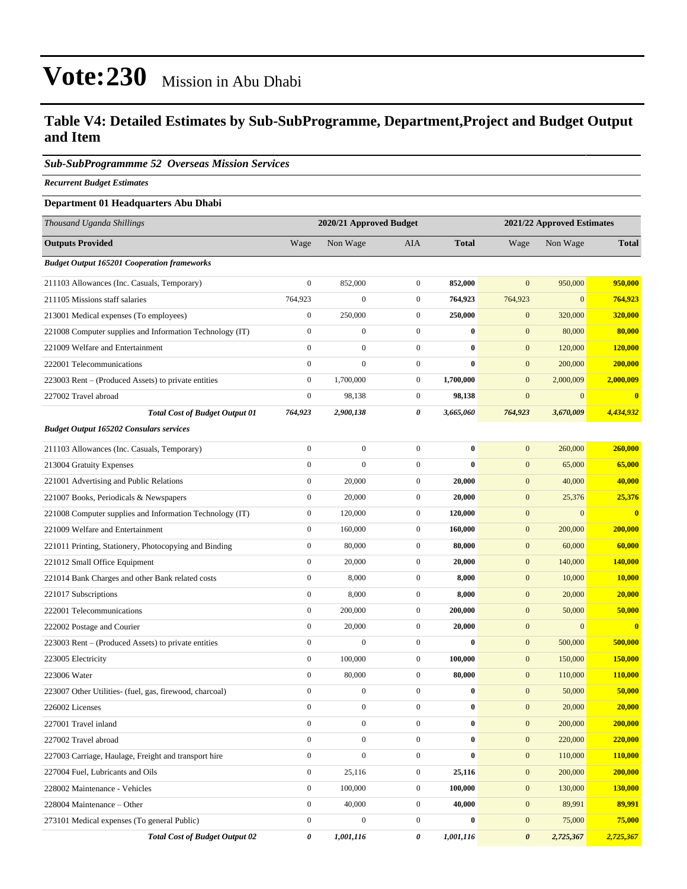### **Table V4: Detailed Estimates by Sub-SubProgramme, Department,Project and Budget Output and Item**

### *Sub-SubProgrammme 52 Overseas Mission Services*

*Recurrent Budget Estimates*

### **Department 01 Headquarters Abu Dhabi**

| Thousand Uganda Shillings                                | 2020/21 Approved Budget |                  |                  |              |                       | 2021/22 Approved Estimates |                         |  |
|----------------------------------------------------------|-------------------------|------------------|------------------|--------------|-----------------------|----------------------------|-------------------------|--|
| <b>Outputs Provided</b>                                  | Wage                    | Non Wage         | AIA              | <b>Total</b> | Wage                  | Non Wage                   | <b>Total</b>            |  |
| <b>Budget Output 165201 Cooperation frameworks</b>       |                         |                  |                  |              |                       |                            |                         |  |
| 211103 Allowances (Inc. Casuals, Temporary)              | $\boldsymbol{0}$        | 852,000          | $\boldsymbol{0}$ | 852,000      | $\mathbf{0}$          | 950,000                    | 950,000                 |  |
| 211105 Missions staff salaries                           | 764,923                 | $\overline{0}$   | $\overline{0}$   | 764,923      | 764,923               | $\mathbf{0}$               | 764,923                 |  |
| 213001 Medical expenses (To employees)                   | $\boldsymbol{0}$        | 250,000          | $\boldsymbol{0}$ | 250,000      | $\mathbf{0}$          | 320,000                    | 320,000                 |  |
| 221008 Computer supplies and Information Technology (IT) | $\boldsymbol{0}$        | $\boldsymbol{0}$ | $\boldsymbol{0}$ | $\bf{0}$     | $\mathbf{0}$          | 80,000                     | 80,000                  |  |
| 221009 Welfare and Entertainment                         | $\boldsymbol{0}$        | $\boldsymbol{0}$ | $\mathbf{0}$     | $\bf{0}$     | $\mathbf{0}$          | 120,000                    | 120,000                 |  |
| 222001 Telecommunications                                | $\boldsymbol{0}$        | $\boldsymbol{0}$ | $\boldsymbol{0}$ | $\bf{0}$     | $\mathbf{0}$          | 200,000                    | 200,000                 |  |
| 223003 Rent – (Produced Assets) to private entities      | $\boldsymbol{0}$        | 1,700,000        | $\mathbf{0}$     | 1,700,000    | $\mathbf{0}$          | 2,000,009                  | 2,000,009               |  |
| 227002 Travel abroad                                     | $\boldsymbol{0}$        | 98,138           | $\boldsymbol{0}$ | 98,138       | $\mathbf{0}$          | $\mathbf{0}$               | $\overline{\mathbf{0}}$ |  |
| <b>Total Cost of Budget Output 01</b>                    | 764,923                 | 2,900,138        | 0                | 3,665,060    | 764,923               | 3,670,009                  | 4,434,932               |  |
| <b>Budget Output 165202 Consulars services</b>           |                         |                  |                  |              |                       |                            |                         |  |
| 211103 Allowances (Inc. Casuals, Temporary)              | $\boldsymbol{0}$        | $\boldsymbol{0}$ | $\overline{0}$   | $\bf{0}$     | $\mathbf{0}$          | 260,000                    | 260,000                 |  |
| 213004 Gratuity Expenses                                 | $\boldsymbol{0}$        | $\overline{0}$   | $\boldsymbol{0}$ | $\bf{0}$     | $\mathbf{0}$          | 65,000                     | 65,000                  |  |
| 221001 Advertising and Public Relations                  | $\boldsymbol{0}$        | 20,000           | $\boldsymbol{0}$ | 20,000       | $\mathbf{0}$          | 40,000                     | 40,000                  |  |
| 221007 Books, Periodicals & Newspapers                   | $\boldsymbol{0}$        | 20,000           | $\boldsymbol{0}$ | 20,000       | $\mathbf{0}$          | 25,376                     | 25,376                  |  |
| 221008 Computer supplies and Information Technology (IT) | $\boldsymbol{0}$        | 120,000          | $\boldsymbol{0}$ | 120,000      | $\mathbf{0}$          | $\boldsymbol{0}$           | $\overline{\mathbf{0}}$ |  |
| 221009 Welfare and Entertainment                         | $\boldsymbol{0}$        | 160,000          | $\mathbf{0}$     | 160,000      | $\mathbf{0}$          | 200,000                    | 200,000                 |  |
| 221011 Printing, Stationery, Photocopying and Binding    | $\boldsymbol{0}$        | 80,000           | $\mathbf{0}$     | 80,000       | $\mathbf{0}$          | 60,000                     | 60,000                  |  |
| 221012 Small Office Equipment                            | $\boldsymbol{0}$        | 20,000           | $\boldsymbol{0}$ | 20,000       | $\mathbf{0}$          | 140,000                    | 140,000                 |  |
| 221014 Bank Charges and other Bank related costs         | $\boldsymbol{0}$        | 8,000            | $\boldsymbol{0}$ | 8,000        | $\mathbf{0}$          | 10,000                     | 10,000                  |  |
| 221017 Subscriptions                                     | $\boldsymbol{0}$        | 8,000            | $\boldsymbol{0}$ | 8,000        | $\mathbf{0}$          | 20,000                     | 20,000                  |  |
| 222001 Telecommunications                                | $\boldsymbol{0}$        | 200,000          | $\mathbf{0}$     | 200,000      | $\mathbf{0}$          | 50,000                     | 50,000                  |  |
| 222002 Postage and Courier                               | $\boldsymbol{0}$        | 20,000           | $\mathbf{0}$     | 20,000       | $\mathbf{0}$          | $\mathbf{0}$               | $\overline{\mathbf{0}}$ |  |
| 223003 Rent – (Produced Assets) to private entities      | $\boldsymbol{0}$        | $\bf{0}$         | $\boldsymbol{0}$ | $\bf{0}$     | $\mathbf{0}$          | 500,000                    | 500,000                 |  |
| 223005 Electricity                                       | $\boldsymbol{0}$        | 100,000          | $\boldsymbol{0}$ | 100,000      | $\mathbf{0}$          | 150,000                    | 150,000                 |  |
| 223006 Water                                             | $\boldsymbol{0}$        | 80,000           | $\boldsymbol{0}$ | 80,000       | $\mathbf{0}$          | 110,000                    | 110,000                 |  |
| 223007 Other Utilities- (fuel, gas, firewood, charcoal)  | $\boldsymbol{0}$        | $\boldsymbol{0}$ | $\mathbf{0}$     | $\bf{0}$     | $\mathbf{0}$          | 50,000                     | 50,000                  |  |
| 226002 Licenses                                          | $\boldsymbol{0}$        | $\boldsymbol{0}$ | $\mathbf{0}$     | $\bf{0}$     | $\mathbf{0}$          | 20,000                     | 20,000                  |  |
| 227001 Travel inland                                     | $\boldsymbol{0}$        | $\boldsymbol{0}$ | $\boldsymbol{0}$ | 0            | $\boldsymbol{0}$      | 200,000                    | 200,000                 |  |
| 227002 Travel abroad                                     | $\boldsymbol{0}$        | $\boldsymbol{0}$ | $\overline{0}$   | $\bf{0}$     | $\boldsymbol{0}$      | 220,000                    | 220,000                 |  |
| 227003 Carriage, Haulage, Freight and transport hire     | $\boldsymbol{0}$        | $\boldsymbol{0}$ | $\overline{0}$   | $\bf{0}$     | $\mathbf{0}$          | 110,000                    | 110,000                 |  |
| 227004 Fuel, Lubricants and Oils                         | $\boldsymbol{0}$        | 25,116           | $\boldsymbol{0}$ | 25,116       | $\boldsymbol{0}$      | 200,000                    | 200,000                 |  |
| 228002 Maintenance - Vehicles                            | $\boldsymbol{0}$        | 100,000          | $\boldsymbol{0}$ | 100,000      | $\mathbf{0}$          | 130,000                    | 130,000                 |  |
| 228004 Maintenance – Other                               | $\boldsymbol{0}$        | 40,000           | $\boldsymbol{0}$ | 40,000       | $\boldsymbol{0}$      | 89,991                     | 89,991                  |  |
| 273101 Medical expenses (To general Public)              | $\boldsymbol{0}$        | $\boldsymbol{0}$ | $\boldsymbol{0}$ | $\bf{0}$     | $\boldsymbol{0}$      | 75,000                     | 75,000                  |  |
| <b>Total Cost of Budget Output 02</b>                    | 0                       | 1,001,116        | 0                | 1,001,116    | $\boldsymbol{\theta}$ | 2,725,367                  | 2,725,367               |  |